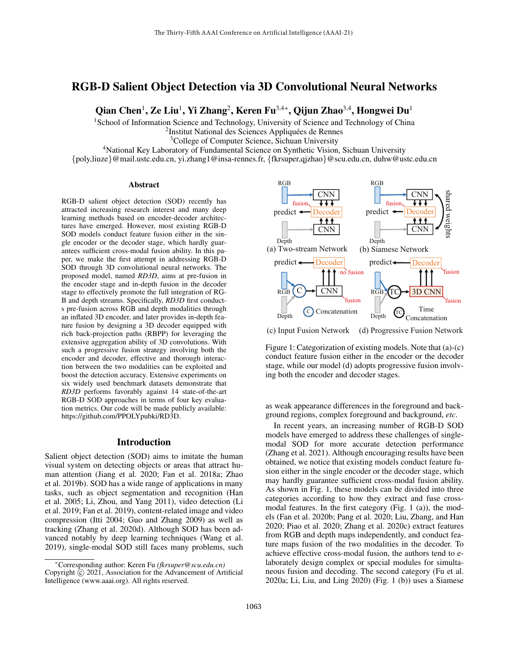# RGB-D Salient Object Detection via 3D Convolutional Neural Networks

Qian Chen<sup>1</sup>, Ze Liu<sup>1</sup>, Yi Zhang<sup>2</sup>, Keren Fu<sup>3,4</sup>\*, Qijun Zhao<sup>3,4</sup>, Hongwei Du<sup>1</sup>

<sup>1</sup>School of Information Science and Technology, University of Science and Technology of China

<sup>2</sup>Institut National des Sciences Appliquées de Rennes

<sup>3</sup>College of Computer Science, Sichuan University

<sup>4</sup>National Key Laboratory of Fundamental Science on Synthetic Vision, Sichuan University

{poly,liuze}@mail.ustc.edu.cn, yi.zhang1@insa-rennes.fr, {fkrsuper,qjzhao}@scu.edu.cn, duhw@ustc.edu.cn

#### Abstract

RGB-D salient object detection (SOD) recently has attracted increasing research interest and many deep learning methods based on encoder-decoder architectures have emerged. However, most existing RGB-D SOD models conduct feature fusion either in the single encoder or the decoder stage, which hardly guarantees sufficient cross-modal fusion ability. In this paper, we make the first attempt in addressing RGB-D SOD through 3D convolutional neural networks. The proposed model, named *RD3D*, aims at pre-fusion in the encoder stage and in-depth fusion in the decoder stage to effectively promote the full integration of RG-B and depth streams. Specifically, *RD3D* first conducts pre-fusion across RGB and depth modalities through an inflated 3D encoder, and later provides in-depth feature fusion by designing a 3D decoder equipped with rich back-projection paths (RBPP) for leveraging the extensive aggregation ability of 3D convolutions. With such a progressive fusion strategy involving both the encoder and decoder, effective and thorough interaction between the two modalities can be exploited and boost the detection accuracy. Extensive experiments on six widely used benchmark datasets demonstrate that *RD3D* performs favorably against 14 state-of-the-art RGB-D SOD approaches in terms of four key evaluation metrics. Our code will be made publicly available: https://github.com/PPOLYpubki/RD3D.

### Introduction

Salient object detection (SOD) aims to imitate the human visual system on detecting objects or areas that attract human attention (Jiang et al. 2020; Fan et al. 2018a; Zhao et al. 2019b). SOD has a wide range of applications in many tasks, such as object segmentation and recognition (Han et al. 2005; Li, Zhou, and Yang 2011), video detection (Li et al. 2019; Fan et al. 2019), content-related image and video compression (Itti 2004; Guo and Zhang 2009) as well as tracking (Zhang et al. 2020d). Although SOD has been advanced notably by deep learning techniques (Wang et al. 2019), single-modal SOD still faces many problems, such



(c) Input Fusion Network (d) Progressive Fusion Network

Figure 1: Categorization of existing models. Note that (a)-(c) conduct feature fusion either in the encoder or the decoder stage, while our model (d) adopts progressive fusion involving both the encoder and decoder stages.

as weak appearance differences in the foreground and background regions, complex foreground and background, *etc*.

In recent years, an increasing number of RGB-D SOD models have emerged to address these challenges of singlemodal SOD for more accurate detection performance (Zhang et al. 2021). Although encouraging results have been obtained, we notice that existing models conduct feature fusion either in the single encoder or the decoder stage, which may hardly guarantee sufficient cross-modal fusion ability. As shown in Fig. 1, these models can be divided into three categories according to how they extract and fuse crossmodal features. In the first category (Fig. 1 (a)), the models (Fan et al. 2020b; Pang et al. 2020; Liu, Zhang, and Han 2020; Piao et al. 2020; Zhang et al. 2020c) extract features from RGB and depth maps independently, and conduct feature maps fusion of the two modalities in the decoder. To achieve effective cross-modal fusion, the authors tend to elaborately design complex or special modules for simultaneous fusion and decoding. The second category (Fu et al. 2020a; Li, Liu, and Ling 2020) (Fig. 1 (b)) uses a Siamese

<sup>∗</sup>Corresponding author: Keren Fu *(fkrsuper@scu.edu.cn)* Copyright  $\overline{c}$  2021, Association for the Advancement of Artificial Intelligence (www.aaai.org). All rights reserved.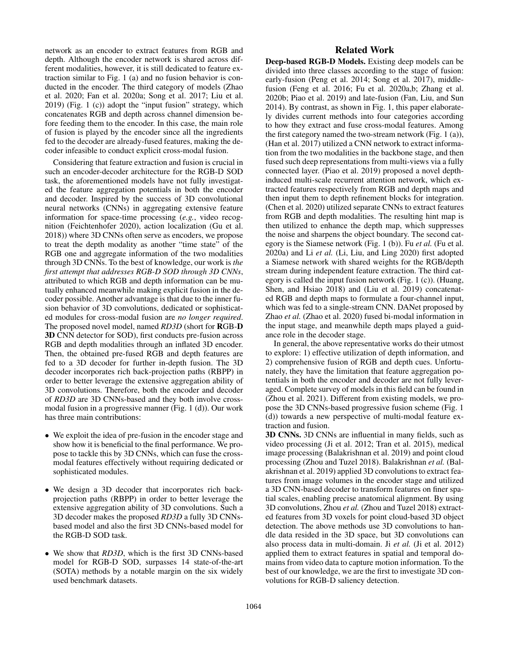network as an encoder to extract features from RGB and depth. Although the encoder network is shared across different modalities, however, it is still dedicated to feature extraction similar to Fig. 1 (a) and no fusion behavior is conducted in the encoder. The third category of models (Zhao et al. 2020; Fan et al. 2020a; Song et al. 2017; Liu et al. 2019) (Fig. 1 (c)) adopt the "input fusion" strategy, which concatenates RGB and depth across channel dimension before feeding them to the encoder. In this case, the main role of fusion is played by the encoder since all the ingredients fed to the decoder are already-fused features, making the decoder infeasible to conduct explicit cross-modal fusion.

Considering that feature extraction and fusion is crucial in such an encoder-decoder architecture for the RGB-D SOD task, the aforementioned models have not fully investigated the feature aggregation potentials in both the encoder and decoder. Inspired by the success of 3D convolutional neural networks (CNNs) in aggregating extensive feature information for space-time processing (*e.g.*, video recognition (Feichtenhofer 2020), action localization (Gu et al. 2018)) where 3D CNNs often serve as encoders, we propose to treat the depth modality as another "time state" of the RGB one and aggregate information of the two modalities through 3D CNNs. To the best of knowledge, our work is *the first attempt that addresses RGB-D SOD through 3D CNNs*, attributed to which RGB and depth information can be mutually enhanced meanwhile making explicit fusion in the decoder possible. Another advantage is that due to the inner fusion behavior of 3D convolutions, dedicated or sophisticated modules for cross-modal fusion are *no longer required*. The proposed novel model, named *RD3D* (short for RGB-D 3D CNN detector for SOD), first conducts pre-fusion across RGB and depth modalities through an inflated 3D encoder. Then, the obtained pre-fused RGB and depth features are fed to a 3D decoder for further in-depth fusion. The 3D decoder incorporates rich back-projection paths (RBPP) in order to better leverage the extensive aggregation ability of 3D convolutions. Therefore, both the encoder and decoder of *RD3D* are 3D CNNs-based and they both involve crossmodal fusion in a progressive manner (Fig. 1 (d)). Our work has three main contributions:

- We exploit the idea of pre-fusion in the encoder stage and show how it is beneficial to the final performance. We propose to tackle this by 3D CNNs, which can fuse the crossmodal features effectively without requiring dedicated or sophisticated modules.
- We design a 3D decoder that incorporates rich backprojection paths (RBPP) in order to better leverage the extensive aggregation ability of 3D convolutions. Such a 3D decoder makes the proposed *RD3D* a fully 3D CNNsbased model and also the first 3D CNNs-based model for the RGB-D SOD task.
- We show that *RD3D*, which is the first 3D CNNs-based model for RGB-D SOD, surpasses 14 state-of-the-art (SOTA) methods by a notable margin on the six widely used benchmark datasets.

# Related Work

Deep-based RGB-D Models. Existing deep models can be divided into three classes according to the stage of fusion: early-fusion (Peng et al. 2014; Song et al. 2017), middlefusion (Feng et al. 2016; Fu et al. 2020a,b; Zhang et al. 2020b; Piao et al. 2019) and late-fusion (Fan, Liu, and Sun 2014). By contrast, as shown in Fig. 1, this paper elaborately divides current methods into four categories according to how they extract and fuse cross-modal features. Among the first category named the two-stream network (Fig. 1 (a)), (Han et al. 2017) utilized a CNN network to extract information from the two modalities in the backbone stage, and then fused such deep representations from multi-views via a fully connected layer. (Piao et al. 2019) proposed a novel depthinduced multi-scale recurrent attention network, which extracted features respectively from RGB and depth maps and then input them to depth refinement blocks for integration. (Chen et al. 2020) utilized separate CNNs to extract features from RGB and depth modalities. The resulting hint map is then utilized to enhance the depth map, which suppresses the noise and sharpens the object boundary. The second category is the Siamese network (Fig. 1 (b)). Fu *et al.* (Fu et al. 2020a) and Li *et al.* (Li, Liu, and Ling 2020) first adopted a Siamese network with shared weights for the RGB/depth stream during independent feature extraction. The third category is called the input fusion network (Fig. 1 (c)). (Huang, Shen, and Hsiao 2018) and (Liu et al. 2019) concatenated RGB and depth maps to formulate a four-channel input, which was fed to a single-stream CNN. DANet proposed by Zhao *et al.* (Zhao et al. 2020) fused bi-modal information in the input stage, and meanwhile depth maps played a guidance role in the decoder stage.

In general, the above representative works do their utmost to explore: 1) effective utilization of depth information, and 2) comprehensive fusion of RGB and depth cues. Unfortunately, they have the limitation that feature aggregation potentials in both the encoder and decoder are not fully leveraged. Complete survey of models in this field can be found in (Zhou et al. 2021). Different from existing models, we propose the 3D CNNs-based progressive fusion scheme (Fig. 1 (d)) towards a new perspective of multi-modal feature extraction and fusion.

3D CNNs. 3D CNNs are influential in many fields, such as video processing (Ji et al. 2012; Tran et al. 2015), medical image processing (Balakrishnan et al. 2019) and point cloud processing (Zhou and Tuzel 2018). Balakrishnan *et al.* (Balakrishnan et al. 2019) applied 3D convolutions to extract features from image volumes in the encoder stage and utilized a 3D CNN-based decoder to transform features on finer spatial scales, enabling precise anatomical alignment. By using 3D convolutions, Zhou *et al.* (Zhou and Tuzel 2018) extracted features from 3D voxels for point cloud-based 3D object detection. The above methods use 3D convolutions to handle data resided in the 3D space, but 3D convolutions can also process data in multi-domain. Ji *et al.* (Ji et al. 2012) applied them to extract features in spatial and temporal domains from video data to capture motion information. To the best of our knowledge, we are the first to investigate 3D convolutions for RGB-D saliency detection.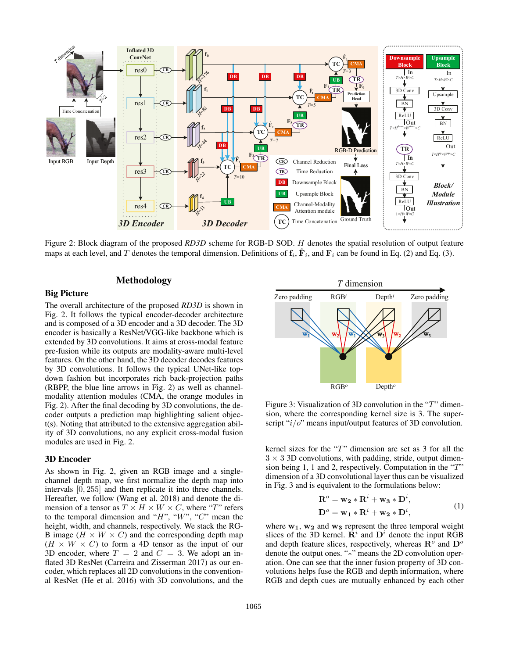

Figure 2: Block diagram of the proposed *RD3D* scheme for RGB-D SOD. H denotes the spatial resolution of output feature maps at each level, and T denotes the temporal dimension. Definitions of  $f_i$ ,  $\hat{F}_i$ , and  $F_i$  can be found in Eq. (2) and Eq. (3).

# Methodology

### Big Picture

The overall architecture of the proposed *RD3D* is shown in Fig. 2. It follows the typical encoder-decoder architecture and is composed of a 3D encoder and a 3D decoder. The 3D encoder is basically a ResNet/VGG-like backbone which is extended by 3D convolutions. It aims at cross-modal feature pre-fusion while its outputs are modality-aware multi-level features. On the other hand, the 3D decoder decodes features by 3D convolutions. It follows the typical UNet-like topdown fashion but incorporates rich back-projection paths (RBPP, the blue line arrows in Fig. 2) as well as channelmodality attention modules (CMA, the orange modules in Fig. 2). After the final decoding by 3D convolutions, the decoder outputs a prediction map highlighting salient object(s). Noting that attributed to the extensive aggregation ability of 3D convolutions, no any explicit cross-modal fusion modules are used in Fig. 2.

#### 3D Encoder

As shown in Fig. 2, given an RGB image and a singlechannel depth map, we first normalize the depth map into intervals [0, 255] and then replicate it into three channels. Hereafter, we follow (Wang et al. 2018) and denote the dimension of a tensor as  $T \times H \times W \times C$ , where "T" refers to the temporal dimension and " $H$ ", " $W$ ", " $C$ " mean the height, width, and channels, respectively. We stack the RG-B image  $(H \times W \times C)$  and the corresponding depth map  $(H \times W \times C)$  to form a 4D tensor as the input of our 3D encoder, where  $T = 2$  and  $C = 3$ . We adopt an inflated 3D ResNet (Carreira and Zisserman 2017) as our encoder, which replaces all 2D convolutions in the conventional ResNet (He et al. 2016) with 3D convolutions, and the



Figure 3: Visualization of 3D convolution in the "T" dimension, where the corresponding kernel size is 3. The superscript " $i/o$ " means input/output features of 3D convolution.

kernel sizes for the "T" dimension are set as 3 for all the  $3 \times 3$  3D convolutions, with padding, stride, output dimension being 1, 1 and 2, respectively. Computation in the "T" dimension of a 3D convolutional layer thus can be visualized in Fig. 3 and is equivalent to the formulations below:

$$
\mathbf{R}^o = \mathbf{w_2} * \mathbf{R}^i + \mathbf{w_3} * \mathbf{D}^i,
$$
  
\n
$$
\mathbf{D}^o = \mathbf{w_1} * \mathbf{R}^i + \mathbf{w_2} * \mathbf{D}^i,
$$
\n(1)

where  $w_1$ ,  $w_2$  and  $w_3$  represent the three temporal weight slices of the 3D kernel.  $\mathbf{R}^i$  and  $\mathbf{D}^i$  denote the input RGB and depth feature slices, respectively, whereas  $\mathbf{R}^{\tilde{o}}$  and  $\mathbf{D}^{\circ}$ denote the output ones. "∗" means the 2D convolution operation. One can see that the inner fusion property of 3D convolutions helps fuse the RGB and depth information, where RGB and depth cues are mutually enhanced by each other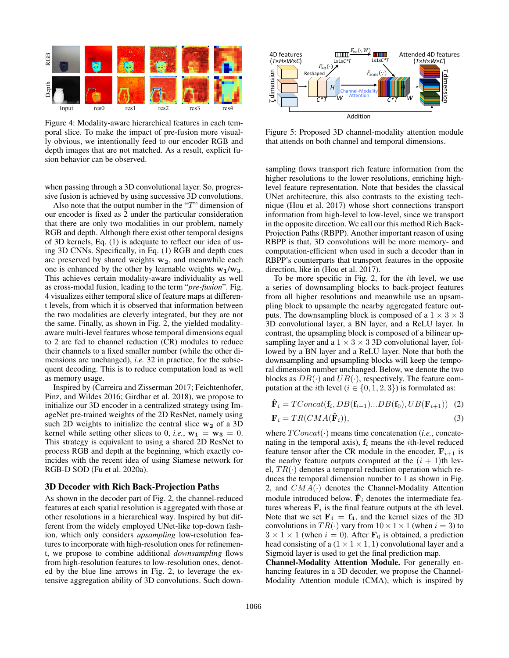

Figure 4: Modality-aware hierarchical features in each temporal slice. To make the impact of pre-fusion more visually obvious, we intentionally feed to our encoder RGB and depth images that are not matched. As a result, explicit fusion behavior can be observed.

when passing through a 3D convolutional layer. So, progressive fusion is achieved by using successive 3D convolutions.

Also note that the output number in the "T" dimension of our encoder is fixed as 2 under the particular consideration that there are only two modalities in our problem, namely RGB and depth. Although there exist other temporal designs of 3D kernels, Eq. (1) is adequate to reflect our idea of using 3D CNNs. Specifically, in Eq. (1) RGB and depth cues are preserved by shared weights  $w_2$ , and meanwhile each one is enhanced by the other by learnable weights  $w_1/w_3$ . This achieves certain modality-aware individuality as well as cross-modal fusion, leading to the term "*pre-fusion*". Fig. 4 visualizes either temporal slice of feature maps at different levels, from which it is observed that information between the two modalities are cleverly integrated, but they are not the same. Finally, as shown in Fig. 2, the yielded modalityaware multi-level features whose temporal dimensions equal to 2 are fed to channel reduction (CR) modules to reduce their channels to a fixed smaller number (while the other dimensions are unchanged), *i.e.* 32 in practice, for the subsequent decoding. This is to reduce computation load as well as memory usage.

Inspired by (Carreira and Zisserman 2017; Feichtenhofer, Pinz, and Wildes 2016; Girdhar et al. 2018), we propose to initialize our 3D encoder in a centralized strategy using ImageNet pre-trained weights of the 2D ResNet, namely using such 2D weights to initialize the central slice  $w_2$  of a 3D kernel while setting other slices to 0, *i.e.*,  $w_1 = w_3 = 0$ . This strategy is equivalent to using a shared 2D ResNet to process RGB and depth at the beginning, which exactly coincides with the recent idea of using Siamese network for RGB-D SOD (Fu et al. 2020a).

#### 3D Decoder with Rich Back-Projection Paths

As shown in the decoder part of Fig. 2, the channel-reduced features at each spatial resolution is aggregated with those at other resolutions in a hierarchical way. Inspired by but different from the widely employed UNet-like top-down fashion, which only considers *upsampling* low-resolution features to incorporate with high-resolution ones for refinement, we propose to combine additional *downsampling* flows from high-resolution features to low-resolution ones, denoted by the blue line arrows in Fig. 2, to leverage the extensive aggregation ability of 3D convolutions. Such down-



Figure 5: Proposed 3D channel-modality attention module that attends on both channel and temporal dimensions.

sampling flows transport rich feature information from the higher resolutions to the lower resolutions, enriching highlevel feature representation. Note that besides the classical UNet architecture, this also contrasts to the existing technique (Hou et al. 2017) whose short connections transport information from high-level to low-level, since we transport in the opposite direction. We call our this method Rich Back-Projection Paths (RBPP). Another important reason of using RBPP is that, 3D convolutions will be more memory- and computation-efficient when used in such a decoder than in RBPP's counterparts that transport features in the opposite direction, like in (Hou et al. 2017).

To be more specific in Fig. 2, for the ith level, we use a series of downsampling blocks to back-project features from all higher resolutions and meanwhile use an upsampling block to upsample the nearby aggregated feature outputs. The downsampling block is composed of a  $1 \times 3 \times 3$ 3D convolutional layer, a BN layer, and a ReLU layer. In contrast, the upsampling block is composed of a bilinear upsampling layer and a  $1 \times 3 \times 3$  3D convolutional layer, followed by a BN layer and a ReLU layer. Note that both the downsampling and upsampling blocks will keep the temporal dimension number unchanged. Below, we denote the two blocks as  $DB(\cdot)$  and  $UB(\cdot)$ , respectively. The feature computation at the *i*th level ( $i \in \{0, 1, 2, 3\}$ ) is formulated as:

$$
\hat{\mathbf{F}}_i = TConcat(\mathbf{f}_i, DB(\mathbf{f}_{i-1})...DB(\mathbf{f}_0), UB(\mathbf{F}_{i+1}))
$$
 (2)  
\n
$$
\mathbf{F}_i = TR(CMA(\hat{\mathbf{F}}_i)),
$$
 (3)

where  $TConcat(\cdot)$  means time concatenation (*i.e.*, concatenating in the temporal axis),  $f_i$  means the *i*th-level reduced feature tensor after the CR module in the encoder,  $\mathbf{F}_{i+1}$  is the nearby feature outputs computed at the  $(i + 1)$ th level,  $TR(\cdot)$  denotes a temporal reduction operation which reduces the temporal dimension number to 1 as shown in Fig. 2, and  $CMA(\cdot)$  denotes the Channel-Modality Attention module introduced below.  $\hat{\mathbf{F}}_i$  denotes the intermediate features whereas  $F_i$  is the final feature outputs at the *i*th level. Note that we set  $\mathbf{F}_4 = \mathbf{f}_4$ , and the kernel sizes of the 3D convolutions in  $TR(\cdot)$  vary from  $10 \times 1 \times 1$  (when  $i = 3$ ) to  $3 \times 1 \times 1$  (when  $i = 0$ ). After  $\mathbf{F}_0$  is obtained, a prediction head consisting of a  $(1 \times 1 \times 1, 1)$  convolutional layer and a Sigmoid layer is used to get the final prediction map.

Channel-Modality Attention Module. For generally enhancing features in a 3D decoder, we propose the Channel-Modality Attention module (CMA), which is inspired by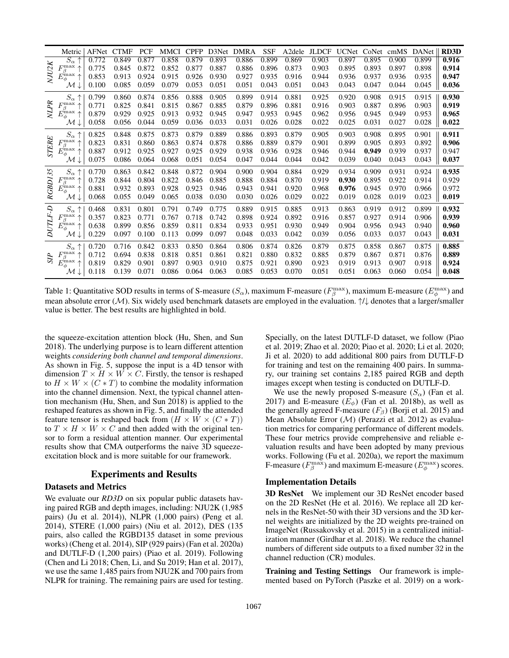|              | Metric                                       | AFNet | <b>CTMF</b> | PCF   | <b>MMCI</b> | <b>CPFP</b> | D3Net | <b>DMRA</b> | <b>SSF</b> | A <sub>2</sub> dele | <b>JLDCF</b> | <b>UCNet</b> |       | CoNet cmMS | <b>DANet</b> | <b>RD3D</b> |
|--------------|----------------------------------------------|-------|-------------|-------|-------------|-------------|-------|-------------|------------|---------------------|--------------|--------------|-------|------------|--------------|-------------|
|              | $\overline{S_{\alpha}}\uparrow$              | 0.772 | 0.849       | 0.877 | 0.858       | 0.879       | 0.893 | 0.886       | 0.899      | 0.869               | 0.903        | 0.897        | 0.895 | 0.900      | 0.899        | 0.916       |
|              | $F^{\rm max}_{\beta} \stackrel{.}{\uparrow}$ | 0.775 | 0.845       | 0.872 | 0.852       | 0.877       | 0.887 | 0.886       | 0.896      | 0.873               | 0.903        | 0.895        | 0.893 | 0.897      | 0.898        | 0.914       |
| NJU2K        | $\tilde{E_{\phi}^{\max}} \dagger$            | 0.853 | 0.913       | 0.924 | 0.915       | 0.926       | 0.930 | 0.927       | 0.935      | 0.916               | 0.944        | 0.936        | 0.937 | 0.936      | 0.935        | 0.947       |
|              | М                                            | 0.100 | 0.085       | 0.059 | 0.079       | 0.053       | 0.051 | 0.051       | 0.043      | 0.051               | 0.043        | 0.043        | 0.047 | 0.044      | 0.045        | 0.036       |
|              | $S_{\alpha}$                                 | 0.799 | 0.860       | 0.874 | 0.856       | 0.888       | 0.905 | 0.899       | 0.914      | 0.881               | 0.925        | 0.920        | 0.908 | 0.915      | 0.915        | 0.930       |
| <b>NLPR</b>  | $F^{\rm max}_{\beta}$                        | 0.771 | 0.825       | 0.841 | 0.815       | 0.867       | 0.885 | 0.879       | 0.896      | 0.881               | 0.916        | 0.903        | 0.887 | 0.896      | 0.903        | 0.919       |
|              | $\tilde{E_{\phi}^{\rm max}}$ $\uparrow$      | 0.879 | 0.929       | 0.925 | 0.913       | 0.932       | 0.945 | 0.947       | 0.953      | 0.945               | 0.962        | 0.956        | 0.945 | 0.949      | 0.953        | 0.965       |
|              | $\mathcal{M} \downarrow$                     | 0.058 | 0.056       | 0.044 | 0.059       | 0.036       | 0.033 | 0.031       | 0.026      | 0.028               | 0.022        | 0.025        | 0.031 | 0.027      | 0.028        | 0.022       |
| <b>STERE</b> | $S_{\alpha}$                                 | 0.825 | 0.848       | 0.875 | 0.873       | 0.879       | 0.889 | 0.886       | 0.893      | 0.879               | 0.905        | 0.903        | 0.908 | 0.895      | 0.901        | 0.911       |
|              | $F_{\beta}^{\max}$ .                         | 0.823 | 0.831       | 0.860 | 0.863       | 0.874       | 0.878 | 0.886       | 0.889      | 0.879               | 0.901        | 0.899        | 0.905 | 0.893      | 0.892        | 0.906       |
|              | $E_\phi^{\rm max}$                           | 0.887 | 0.912       | 0.925 | 0.927       | 0.925       | 0.929 | 0.938       | 0.936      | 0.928               | 0.946        | 0.944        | 0.949 | 0.939      | 0.937        | 0.947       |
|              | М                                            | 0.075 | 0.086       | 0.064 | 0.068       | 0.051       | 0.054 | 0.047       | 0.044      | 0.044               | 0.042        | 0.039        | 0.040 | 0.043      | 0.043        | 0.037       |
|              | $S_{\alpha}$                                 | 0.770 | 0.863       | 0.842 | 0.848       | 0.872       | 0.904 | 0.900       | 0.904      | 0.884               | 0.929        | 0.934        | 0.909 | 0.931      | 0.924        | 0.935       |
|              | $F_{\beta}^{\max}$ .                         | 0.728 | 0.844       | 0.804 | 0.822       | 0.846       | 0.885 | 0.888       | 0.884      | 0.870               | 0.919        | 0.930        | 0.895 | 0.922      | 0.914        | 0.929       |
| RGBD135      | $\it{E}^{\rm max}_{\phi} \; \uparrow$        | 0.881 | 0.932       | 0.893 | 0.928       | 0.923       | 0.946 | 0.943       | 0.941      | 0.920               | 0.968        | 0.976        | 0.945 | 0.970      | 0.966        | 0.972       |
|              | М                                            | 0.068 | 0.055       | 0.049 | 0.065       | 0.038       | 0.030 | 0.030       | 0.026      | 0.029               | 0.022        | 0.019        | 0.028 | 0.019      | 0.023        | 0.019       |
|              | $S_{\alpha}$                                 | 0.468 | 0.831       | 0.801 | 0.791       | 0.749       | 0.775 | 0.889       | 0.915      | 0.885               | 0.913        | 0.863        | 0.919 | 0.912      | 0.899        | 0.932       |
| $DUTLF-D$    | $F_{\beta}^{\max}$ .<br>ᠰ                    | 0.357 | 0.823       | 0.771 | 0.767       | 0.718       | 0.742 | 0.898       | 0.924      | 0.892               | 0.916        | 0.857        | 0.927 | 0.914      | 0.906        | 0.939       |
|              | $\tilde{E_{\phi}^{\rm max}}$ $\uparrow$      | 0.638 | 0.899       | 0.856 | 0.859       | 0.811       | 0.834 | 0.933       | 0.951      | 0.930               | 0.949        | 0.904        | 0.956 | 0.943      | 0.940        | 0.960       |
|              | М                                            | 0.229 | 0.097       | 0.100 | 0.113       | 0.099       | 0.097 | 0.048       | 0.033      | 0.042               | 0.039        | 0.056        | 0.033 | 0.037      | 0.043        | 0.031       |
|              | $S_{\alpha} \uparrow$                        | 0.720 | 0.716       | 0.842 | 0.833       | 0.850       | 0.864 | 0.806       | 0.874      | 0.826               | 0.879        | 0.875        | 0.858 | 0.867      | 0.875        | 0.885       |
| <b>SIP</b>   | $F^{\max}_{\sim}$<br>ᠰ<br>$\beta$            | 0.712 | 0.694       | 0.838 | 0.818       | 0.851       | 0.861 | 0.821       | 0.880      | 0.832               | 0.885        | 0.879        | 0.867 | 0.871      | 0.876        | 0.889       |
|              | $E_\phi^{\rm max} \uparrow$                  | 0.819 | 0.829       | 0.901 | 0.897       | 0.903       | 0.910 | 0.875       | 0.921      | 0.890               | 0.923        | 0.919        | 0.913 | 0.907      | 0.918        | 0.924       |
|              | М                                            | 0.118 | 0.139       | 0.071 | 0.086       | 0.064       | 0.063 | 0.085       | 0.053      | 0.070               | 0.051        | 0.051        | 0.063 | 0.060      | 0.054        | 0.048       |

Table 1: Quantitative SOD results in terms of S-measure ( $S_\alpha$ ), maximum F-measure ( $F_\beta^{\max}$ ), maximum E-measure ( $E_\phi^{\max}$ ) and mean absolute error (M). Six widely used benchmark datasets are employed in the evaluation.  $\uparrow/\downarrow$  denotes that a larger/smaller value is better. The best results are highlighted in bold.

the squeeze-excitation attention block (Hu, Shen, and Sun 2018). The underlying purpose is to learn different attention weights *considering both channel and temporal dimensions*. As shown in Fig. 5, suppose the input is a 4D tensor with dimension  $T \times H \times W \times C$ . Firstly, the tensor is reshaped to  $H \times W \times (C * T)$  to combine the modality information into the channel dimension. Next, the typical channel attention mechanism (Hu, Shen, and Sun 2018) is applied to the reshaped features as shown in Fig. 5, and finally the attended feature tensor is reshaped back from  $(H \times W \times (C * T))$ to  $T \times H \times W \times C$  and then added with the original tensor to form a residual attention manner. Our experimental results show that CMA outperforms the naive 3D squeezeexcitation block and is more suitable for our framework.

# Experiments and Results

# Datasets and Metrics

We evaluate our *RD3D* on six popular public datasets having paired RGB and depth images, including: NJU2K (1,985 pairs) (Ju et al. 2014)), NLPR (1,000 pairs) (Peng et al. 2014), STERE (1,000 pairs) (Niu et al. 2012), DES (135 pairs, also called the RGBD135 dataset in some previous works) (Cheng et al. 2014), SIP (929 pairs) (Fan et al. 2020a) and DUTLF-D (1,200 pairs) (Piao et al. 2019). Following (Chen and Li 2018; Chen, Li, and Su 2019; Han et al. 2017), we use the same 1,485 pairs from NJU2K and 700 pairs from NLPR for training. The remaining pairs are used for testing.

Specially, on the latest DUTLF-D dataset, we follow (Piao et al. 2019; Zhao et al. 2020; Piao et al. 2020; Li et al. 2020; Ji et al. 2020) to add additional 800 pairs from DUTLF-D for training and test on the remaining 400 pairs. In summary, our training set contains 2,185 paired RGB and depth images except when testing is conducted on DUTLF-D.

We use the newly proposed S-measure  $(S_{\alpha})$  (Fan et al. 2017) and E-measure  $(E_{\phi})$  (Fan et al. 2018b), as well as the generally agreed F-measure  $(F_\beta)$  (Borji et al. 2015) and Mean Absolute Error  $(M)$  (Perazzi et al. 2012) as evaluation metrics for comparing performance of different models. These four metrics provide comprehensive and reliable evaluation results and have been adopted by many previous works. Following (Fu et al. 2020a), we report the maximum F-measure ( $F_{\beta}^{\text{max}}$ ) and maximum E-measure ( $E_{\phi}^{\text{max}}$ ) scores.

#### Implementation Details

3D ResNet We implement our 3D ResNet encoder based on the 2D ResNet (He et al. 2016). We replace all 2D kernels in the ResNet-50 with their 3D versions and the 3D kernel weights are initialized by the 2D weights pre-trained on ImageNet (Russakovsky et al. 2015) in a centralized initialization manner (Girdhar et al. 2018). We reduce the channel numbers of different side outputs to a fixed number 32 in the channel reduction (CR) modules.

Training and Testing Settings Our framework is implemented based on PyTorch (Paszke et al. 2019) on a work-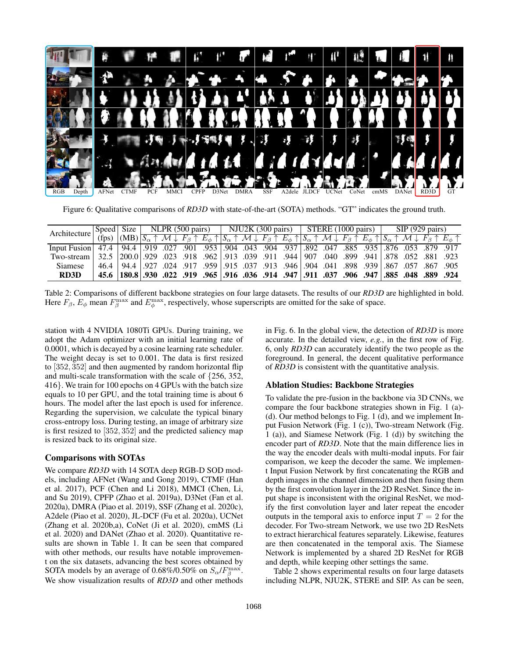

Figure 6: Qualitative comparisons of *RD3D* with state-of-the-art (SOTA) methods. "GT" indicates the ground truth.

| Architecture                                                                                                   | Speed Size |                                                                                                                                                                                                                                                                                                    |  |  |  |  |  | NLPR (500 pairs)   NJU2K (300 pairs)   STERE (1000 pairs) |  |  |  | $\log(929 \text{ pairs})$ |  |  |  |
|----------------------------------------------------------------------------------------------------------------|------------|----------------------------------------------------------------------------------------------------------------------------------------------------------------------------------------------------------------------------------------------------------------------------------------------------|--|--|--|--|--|-----------------------------------------------------------|--|--|--|---------------------------|--|--|--|
|                                                                                                                | $(f_{DS})$ | $ (MB) S_{\alpha} \uparrow M \downarrow F_{\beta} \uparrow E_{\phi} \uparrow  S_{\alpha} \uparrow M \downarrow F_{\beta} \uparrow E_{\phi} \uparrow  S_{\alpha} \uparrow M \downarrow F_{\beta} \uparrow E_{\phi} \uparrow  S_{\alpha} \uparrow M \downarrow F_{\beta} \uparrow E_{\phi} \uparrow$ |  |  |  |  |  |                                                           |  |  |  |                           |  |  |  |
| 171. 879. 876. 876. 878. 879. 885. 879. 897. 892. 894. 892. 904. 8937. 892. 100 812. 885. 876. 879. 879. 897.  |            |                                                                                                                                                                                                                                                                                                    |  |  |  |  |  |                                                           |  |  |  |                           |  |  |  |
| 792. 881. 523. 652. 878. 940. 899. 940. 907. 944 907. 913. 952. 913. 929. 913. 929. 929. 7wo-stream 32.5 200.0 |            |                                                                                                                                                                                                                                                                                                    |  |  |  |  |  |                                                           |  |  |  |                           |  |  |  |
| <b>Siamese</b>                                                                                                 | 46.4       | 905. 67. 67. 67. 67. 867. 989. 9946 094. 915. 913. 913. 9146 094. 917. 924. 927. 024. 927. 924.                                                                                                                                                                                                    |  |  |  |  |  |                                                           |  |  |  |                           |  |  |  |
| <b>RD3D</b>                                                                                                    |            | 45.6 889 889 889 889 891 885 89 900 914 917 885 89 924                                                                                                                                                                                                                                             |  |  |  |  |  |                                                           |  |  |  |                           |  |  |  |

Table 2: Comparisons of different backbone strategies on four large datasets. The results of our *RD3D* are highlighted in bold. Here  $F_\beta$ ,  $E_\phi$  mean  $F_\beta^{\max}$  and  $E_\phi^{\max}$ , respectively, whose superscripts are omitted for the sake of space.

station with 4 NVIDIA 1080Ti GPUs. During training, we adopt the Adam optimizer with an initial learning rate of 0.0001, which is decayed by a cosine learning rate scheduler. The weight decay is set to 0.001. The data is first resized to [352, 352] and then augmented by random horizontal flip and multi-scale transformation with the scale of {256, 352, 416}. We train for 100 epochs on 4 GPUs with the batch size equals to 10 per GPU, and the total training time is about 6 hours. The model after the last epoch is used for inference. Regarding the supervision, we calculate the typical binary cross-entropy loss. During testing, an image of arbitrary size is first resized to [352, 352] and the predicted saliency map is resized back to its original size.

## Comparisons with SOTAs

We compare *RD3D* with 14 SOTA deep RGB-D SOD models, including AFNet (Wang and Gong 2019), CTMF (Han et al. 2017), PCF (Chen and Li 2018), MMCI (Chen, Li, and Su 2019), CPFP (Zhao et al. 2019a), D3Net (Fan et al. 2020a), DMRA (Piao et al. 2019), SSF (Zhang et al. 2020c), A2dele (Piao et al. 2020), JL-DCF (Fu et al. 2020a), UCNet (Zhang et al. 2020b,a), CoNet (Ji et al. 2020), cmMS (Li et al. 2020) and DANet (Zhao et al. 2020). Quantitative results are shown in Table 1. It can be seen that compared with other methods, our results have notable improvement on the six datasets, advancing the best scores obtained by SOTA models by an average of 0.68%/0.50% on  $S_{\alpha}/F_{\beta}^{\max}$ . We show visualization results of *RD3D* and other methods

in Fig. 6. In the global view, the detection of *RD3D* is more accurate. In the detailed view, *e.g.*, in the first row of Fig. 6, only *RD3D* can accurately identify the two people as the foreground. In general, the decent qualitative performance of *RD3D* is consistent with the quantitative analysis.

#### Ablation Studies: Backbone Strategies

To validate the pre-fusion in the backbone via 3D CNNs, we compare the four backbone strategies shown in Fig. 1 (a)- (d). Our method belongs to Fig. 1 (d), and we implement Input Fusion Network (Fig. 1 (c)), Two-stream Network (Fig. 1 (a)), and Siamese Network (Fig. 1 (d)) by switching the encoder part of *RD3D*. Note that the main difference lies in the way the encoder deals with multi-modal inputs. For fair comparison, we keep the decoder the same. We implement Input Fusion Network by first concatenating the RGB and depth images in the channel dimension and then fusing them by the first convolution layer in the 2D ResNet. Since the input shape is inconsistent with the original ResNet, we modify the first convolution layer and later repeat the encoder outputs in the temporal axis to enforce input  $T = 2$  for the decoder. For Two-stream Network, we use two 2D ResNets to extract hierarchical features separately. Likewise, features are then concatenated in the temporal axis. The Siamese Network is implemented by a shared 2D ResNet for RGB and depth, while keeping other settings the same.

Table 2 shows experimental results on four large datasets including NLPR, NJU2K, STERE and SIP. As can be seen,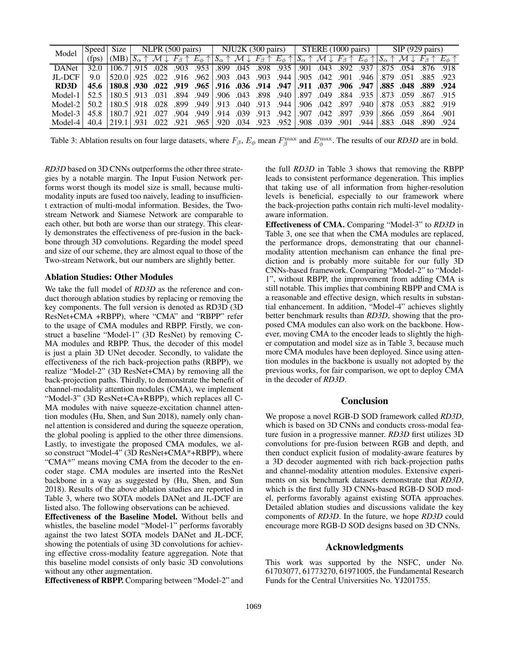| Model                                                                                         |       |                                                                                                                                                                                                                           | Speed Size   NLPR (500 pairs)   NJU2K (300 pairs)   STERE (1000 pairs) |  |  |  |  |  |  |      | $SIP(929 \text{ pairs})$ |  |                     |  |  |
|-----------------------------------------------------------------------------------------------|-------|---------------------------------------------------------------------------------------------------------------------------------------------------------------------------------------------------------------------------|------------------------------------------------------------------------|--|--|--|--|--|--|------|--------------------------|--|---------------------|--|--|
|                                                                                               | (fps) | $(MB)\overline{S_{\alpha}} + M\downarrow F_{\beta} + E_{\phi} + S_{\alpha} + M\downarrow F_{\beta} + E_{\phi} + S_{\alpha} + M\downarrow F_{\beta} + E_{\phi} + S_{\alpha} + M\downarrow F_{\beta} + E_{\phi} + S_{\phi}$ |                                                                        |  |  |  |  |  |  |      |                          |  |                     |  |  |
| DANet 1                                                                                       |       | 318 .576 .574 .675 .571 .677 .937 .691 .043 .892 .935 .691 .693 .935 .939 .939 .028 .028 .028 .575 .054                                                                                                                   |                                                                        |  |  |  |  |  |  |      |                          |  |                     |  |  |
| JL-DCF                                                                                        | 9.0   | 923. 885. 510. 879. 946. 941. 901. 942. 903. 944. 903. 943. 903. 916. 916. 922. 925. 925. 520. [                                                                                                                          |                                                                        |  |  |  |  |  |  |      |                          |  |                     |  |  |
| RD3D                                                                                          |       | 45.6 889 884. 1808 947 885 947 955 967 977 977 977 974 947 947 955 969 979 980 924 956 978 979                                                                                                                            |                                                                        |  |  |  |  |  |  |      |                          |  |                     |  |  |
| Model-1 $\perp$                                                                               |       | 515, 67. 659. 67. 781, 985. 689. 699. 699. 999. 898. 693. 040. 999. 694. 694. 180. 613. 180.5. 52.5                                                                                                                       |                                                                        |  |  |  |  |  |  |      |                          |  |                     |  |  |
| 1 1900. 897. 940. 040. 944. 913. 040. 1913. 944. 999. 948. 028. 180. 180. 180. 180. 042. 042. |       |                                                                                                                                                                                                                           |                                                                        |  |  |  |  |  |  |      |                          |  | .878 .053 .882 .919 |  |  |
| Model- $3$                                                                                    |       | 45.8 180.7 021 027 094 094 094 094 094 094 094 095 096 097 098 158 180.7 092 027 094 095 097 098 099                                                                                                                      |                                                                        |  |  |  |  |  |  |      |                          |  | .866 .059 .864 .901 |  |  |
| Model-4 $\vert$                                                                               | 40.4  | 901. 039. 098. 039. 952. 033. 034. 920. 921. 022. 031. 023. 034. 034.                                                                                                                                                     |                                                                        |  |  |  |  |  |  | .944 | .883                     |  | .048.890.924        |  |  |

Table 3: Ablation results on four large datasets, where  $F_\beta$ ,  $E_\phi$  mean  $F_\beta^{\max}$  and  $E_\phi^{\max}$ . The results of our *RD3D* are in bold.

*RD3D* based on 3D CNNs outperforms the other three strategies by a notable margin. The Input Fusion Network performs worst though its model size is small, because multimodality inputs are fused too naively, leading to insufficient extraction of multi-modal information. Besides, the Twostream Network and Siamese Network are comparable to each other, but both are worse than our strategy. This clearly demonstrates the effectiveness of pre-fusion in the backbone through 3D convolutions. Regarding the model speed and size of our scheme, they are almost equal to those of the Two-stream Network, but our numbers are slightly better.

### Ablation Studies: Other Modules

We take the full model of *RD3D* as the reference and conduct thorough ablation studies by replacing or removing the key components. The full version is denoted as RD3D (3D ResNet+CMA +RBPP), where "CMA" and "RBPP" refer to the usage of CMA modules and RBPP. Firstly, we construct a baseline "Model-1" (3D ResNet) by removing C-MA modules and RBPP. Thus, the decoder of this model is just a plain 3D UNet decoder. Secondly, to validate the effectiveness of the rich back-projection paths (RBPP), we realize "Model-2" (3D ResNet+CMA) by removing all the back-projection paths. Thirdly, to demonstrate the benefit of channel-modality attention modules (CMA), we implement "Model-3" (3D ResNet+CA+RBPP), which replaces all C-MA modules with naive squeeze-excitation channel attention modules (Hu, Shen, and Sun 2018), namely only channel attention is considered and during the squeeze operation, the global pooling is applied to the other three dimensions. Lastly, to investigate the proposed CMA modules, we also construct "Model-4" (3D ResNet+CMA\*+RBPP), where "CMA\*" means moving CMA from the decoder to the encoder stage. CMA modules are inserted into the ResNet backbone in a way as suggested by (Hu, Shen, and Sun 2018). Results of the above ablation studies are reported in Table 3, where two SOTA models DANet and JL-DCF are listed also. The following observations can be achieved.

Effectiveness of the Baseline Model. Without bells and whistles, the baseline model "Model-1" performs favorably against the two latest SOTA models DANet and JL-DCF, showing the potentials of using 3D convolutions for achieving effective cross-modality feature aggregation. Note that this baseline model consists of only basic 3D convolutions without any other augmentation.

Effectiveness of RBPP. Comparing between "Model-2" and

the full *RD3D* in Table 3 shows that removing the RBPP leads to consistent performance degeneration. This implies that taking use of all information from higher-resolution levels is beneficial, especially to our framework where the back-projection paths contain rich multi-level modalityaware information.

Effectiveness of CMA. Comparing "Model-3" to *RD3D* in Table 3, one see that when the CMA modules are replaced, the performance drops, demonstrating that our channelmodality attention mechanism can enhance the final prediction and is probably more suitable for our fully 3D CNNs-based framework. Comparing "Model-2" to "Model-1", without RBPP, the improvement from adding CMA is still notable. This implies that combining RBPP and CMA is a reasonable and effective design, which results in substantial enhancement. In addition, "Model-4" achieves slightly better benchmark results than *RD3D*, showing that the proposed CMA modules can also work on the backbone. However, moving CMA to the encoder leads to slightly the higher computation and model size as in Table 3, because much more CMA modules have been deployed. Since using attention modules in the backbone is usually not adopted by the previous works, for fair comparison, we opt to deploy CMA in the decoder of *RD3D*.

# Conclusion

We propose a novel RGB-D SOD framework called *RD3D*, which is based on 3D CNNs and conducts cross-modal feature fusion in a progressive manner. *RD3D* first utilizes 3D convolutions for pre-fusion between RGB and depth, and then conduct explicit fusion of modality-aware features by a 3D decoder augmented with rich back-projection paths and channel-modality attention modules. Extensive experiments on six benchmark datasets demonstrate that *RD3D*, which is the first fully 3D CNNs-based RGB-D SOD model, performs favorably against existing SOTA approaches. Detailed ablation studies and discussions validate the key components of *RD3D*. In the future, we hope *RD3D* could encourage more RGB-D SOD designs based on 3D CNNs.

### Acknowledgments

This work was supported by the NSFC, under No. 61703077, 61773270, 61971005, the Fundamental Research Funds for the Central Universities No. YJ201755.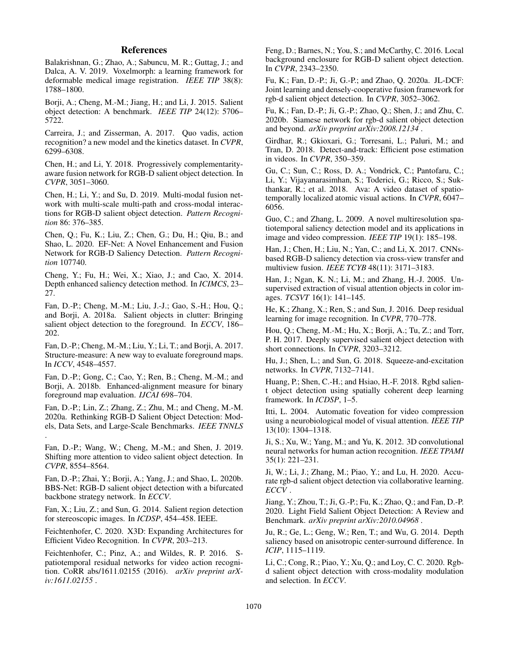# References

Balakrishnan, G.; Zhao, A.; Sabuncu, M. R.; Guttag, J.; and Dalca, A. V. 2019. Voxelmorph: a learning framework for deformable medical image registration. *IEEE TIP* 38(8): 1788–1800.

Borji, A.; Cheng, M.-M.; Jiang, H.; and Li, J. 2015. Salient object detection: A benchmark. *IEEE TIP* 24(12): 5706– 5722.

Carreira, J.; and Zisserman, A. 2017. Quo vadis, action recognition? a new model and the kinetics dataset. In *CVPR*, 6299–6308.

Chen, H.; and Li, Y. 2018. Progressively complementarityaware fusion network for RGB-D salient object detection. In *CVPR*, 3051–3060.

Chen, H.; Li, Y.; and Su, D. 2019. Multi-modal fusion network with multi-scale multi-path and cross-modal interactions for RGB-D salient object detection. *Pattern Recognition* 86: 376–385.

Chen, Q.; Fu, K.; Liu, Z.; Chen, G.; Du, H.; Qiu, B.; and Shao, L. 2020. EF-Net: A Novel Enhancement and Fusion Network for RGB-D Saliency Detection. *Pattern Recognition* 107740.

Cheng, Y.; Fu, H.; Wei, X.; Xiao, J.; and Cao, X. 2014. Depth enhanced saliency detection method. In *ICIMCS*, 23– 27.

Fan, D.-P.; Cheng, M.-M.; Liu, J.-J.; Gao, S.-H.; Hou, Q.; and Borji, A. 2018a. Salient objects in clutter: Bringing salient object detection to the foreground. In *ECCV*, 186– 202.

Fan, D.-P.; Cheng, M.-M.; Liu, Y.; Li, T.; and Borji, A. 2017. Structure-measure: A new way to evaluate foreground maps. In *ICCV*, 4548–4557.

Fan, D.-P.; Gong, C.; Cao, Y.; Ren, B.; Cheng, M.-M.; and Borji, A. 2018b. Enhanced-alignment measure for binary foreground map evaluation. *IJCAI* 698–704.

Fan, D.-P.; Lin, Z.; Zhang, Z.; Zhu, M.; and Cheng, M.-M. 2020a. Rethinking RGB-D Salient Object Detection: Models, Data Sets, and Large-Scale Benchmarks. *IEEE TNNLS* .

Fan, D.-P.; Wang, W.; Cheng, M.-M.; and Shen, J. 2019. Shifting more attention to video salient object detection. In *CVPR*, 8554–8564.

Fan, D.-P.; Zhai, Y.; Borji, A.; Yang, J.; and Shao, L. 2020b. BBS-Net: RGB-D salient object detection with a bifurcated backbone strategy network. In *ECCV*.

Fan, X.; Liu, Z.; and Sun, G. 2014. Salient region detection for stereoscopic images. In *ICDSP*, 454–458. IEEE.

Feichtenhofer, C. 2020. X3D: Expanding Architectures for Efficient Video Recognition. In *CVPR*, 203–213.

Feichtenhofer, C.; Pinz, A.; and Wildes, R. P. 2016. Spatiotemporal residual networks for video action recognition. CoRR abs/1611.02155 (2016). *arXiv preprint arXiv:1611.02155* .

Feng, D.; Barnes, N.; You, S.; and McCarthy, C. 2016. Local background enclosure for RGB-D salient object detection. In *CVPR*, 2343–2350.

Fu, K.; Fan, D.-P.; Ji, G.-P.; and Zhao, Q. 2020a. JL-DCF: Joint learning and densely-cooperative fusion framework for rgb-d salient object detection. In *CVPR*, 3052–3062.

Fu, K.; Fan, D.-P.; Ji, G.-P.; Zhao, Q.; Shen, J.; and Zhu, C. 2020b. Siamese network for rgb-d salient object detection and beyond. *arXiv preprint arXiv:2008.12134* .

Girdhar, R.; Gkioxari, G.; Torresani, L.; Paluri, M.; and Tran, D. 2018. Detect-and-track: Efficient pose estimation in videos. In *CVPR*, 350–359.

Gu, C.; Sun, C.; Ross, D. A.; Vondrick, C.; Pantofaru, C.; Li, Y.; Vijayanarasimhan, S.; Toderici, G.; Ricco, S.; Sukthankar, R.; et al. 2018. Ava: A video dataset of spatiotemporally localized atomic visual actions. In *CVPR*, 6047– 6056.

Guo, C.; and Zhang, L. 2009. A novel multiresolution spatiotemporal saliency detection model and its applications in image and video compression. *IEEE TIP* 19(1): 185–198.

Han, J.; Chen, H.; Liu, N.; Yan, C.; and Li, X. 2017. CNNsbased RGB-D saliency detection via cross-view transfer and multiview fusion. *IEEE TCYB* 48(11): 3171–3183.

Han, J.; Ngan, K. N.; Li, M.; and Zhang, H.-J. 2005. Unsupervised extraction of visual attention objects in color images. *TCSVT* 16(1): 141–145.

He, K.; Zhang, X.; Ren, S.; and Sun, J. 2016. Deep residual learning for image recognition. In *CVPR*, 770–778.

Hou, Q.; Cheng, M.-M.; Hu, X.; Borji, A.; Tu, Z.; and Torr, P. H. 2017. Deeply supervised salient object detection with short connections. In *CVPR*, 3203–3212.

Hu, J.; Shen, L.; and Sun, G. 2018. Squeeze-and-excitation networks. In *CVPR*, 7132–7141.

Huang, P.; Shen, C.-H.; and Hsiao, H.-F. 2018. Rgbd salient object detection using spatially coherent deep learning framework. In *ICDSP*, 1–5.

Itti, L. 2004. Automatic foveation for video compression using a neurobiological model of visual attention. *IEEE TIP* 13(10): 1304–1318.

Ji, S.; Xu, W.; Yang, M.; and Yu, K. 2012. 3D convolutional neural networks for human action recognition. *IEEE TPAMI* 35(1): 221–231.

Ji, W.; Li, J.; Zhang, M.; Piao, Y.; and Lu, H. 2020. Accurate rgb-d salient object detection via collaborative learning. *ECCV* .

Jiang, Y.; Zhou, T.; Ji, G.-P.; Fu, K.; Zhao, Q.; and Fan, D.-P. 2020. Light Field Salient Object Detection: A Review and Benchmark. *arXiv preprint arXiv:2010.04968* .

Ju, R.; Ge, L.; Geng, W.; Ren, T.; and Wu, G. 2014. Depth saliency based on anisotropic center-surround difference. In *ICIP*, 1115–1119.

Li, C.; Cong, R.; Piao, Y.; Xu, Q.; and Loy, C. C. 2020. Rgbd salient object detection with cross-modality modulation and selection. In *ECCV*.